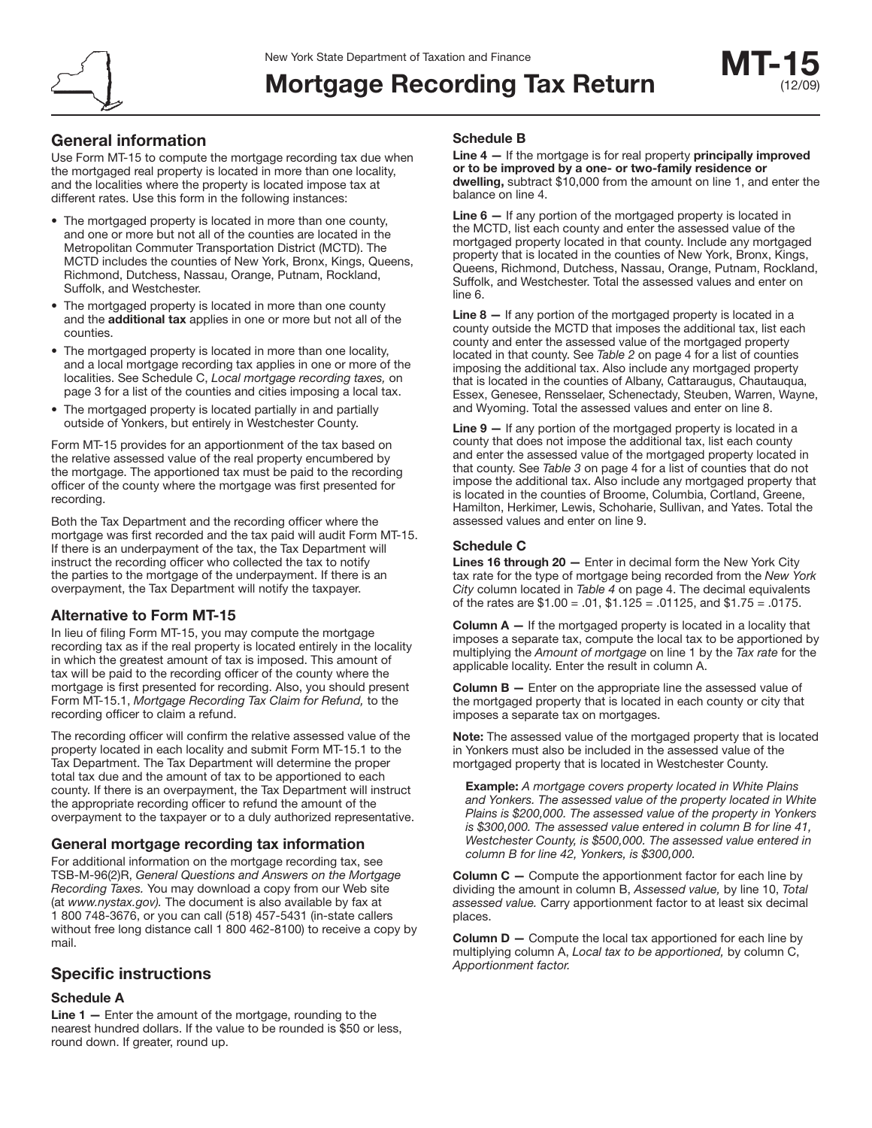

# **Mortgage Recording Tax Return**

## **General information**

Use Form MT-15 to compute the mortgage recording tax due when the mortgaged real property is located in more than one locality, and the localities where the property is located impose tax at different rates. Use this form in the following instances:

- The mortgaged property is located in more than one county, and one or more but not all of the counties are located in the Metropolitan Commuter Transportation District (MCTD). The MCTD includes the counties of New York, Bronx, Kings, Queens, Richmond, Dutchess, Nassau, Orange, Putnam, Rockland, Suffolk, and Westchester.
- The mortgaged property is located in more than one county and the **additional tax** applies in one or more but not all of the counties.
- The mortgaged property is located in more than one locality, and a local mortgage recording tax applies in one or more of the localities. See Schedule C, Local mortgage recording taxes, on page 3 for a list of the counties and cities imposing a local tax.
- The mortgaged property is located partially in and partially outside of Yonkers, but entirely in Westchester County.

Form MT-15 provides for an apportionment of the tax based on the relative assessed value of the real property encumbered by the mortgage. The apportioned tax must be paid to the recording officer of the county where the mortgage was first presented for recording.

Both the Tax Department and the recording officer where the mortgage was first recorded and the tax paid will audit Form MT-15. If there is an underpayment of the tax, the Tax Department will instruct the recording officer who collected the tax to notify the parties to the mortgage of the underpayment. If there is an overpayment, the Tax Department will notify the taxpayer.

#### **Alternative to Form MT-15**

In lieu of filing Form MT-15, you may compute the mortgage recording tax as if the real property is located entirely in the locality in which the greatest amount of tax is imposed. This amount of tax will be paid to the recording officer of the county where the mortgage is first presented for recording. Also, you should present Form MT-15.1, Mortgage Recording Tax Claim for Refund, to the recording officer to claim a refund.

The recording officer will confirm the relative assessed value of the property located in each locality and submit Form MT-15.1 to the Tax Department. The Tax Department will determine the proper total tax due and the amount of tax to be apportioned to each county. If there is an overpayment, the Tax Department will instruct the appropriate recording officer to refund the amount of the overpayment to the taxpayer or to a duly authorized representative.

#### **General mortgage recording tax information**

For additional information on the mortgage recording tax, see TSB-M-96(2)R, General Questions and Answers on the Mortgage Recording Taxes. You may download a copy from our Web site (at www.nystax.gov). The document is also available by fax at 1 800 748-3676, or you can call (518) 457-5431 (in-state callers without free long distance call 1 800 462-8100) to receive a copy by mail.

### **Specific instructions**

#### **Schedule A**

**Line 1 —** Enter the amount of the mortgage, rounding to the nearest hundred dollars. If the value to be rounded is \$50 or less, round down. If greater, round up.

#### **Schedule B**

**Line 4 —** If the mortgage is for real property **principally improved or to be improved by a one- or two-family residence or dwelling,** subtract \$10,000 from the amount on line 1, and enter the balance on line 4.

**Line 6 —** If any portion of the mortgaged property is located in the MCTD, list each county and enter the assessed value of the mortgaged property located in that county. Include any mortgaged property that is located in the counties of New York, Bronx, Kings, Queens, Richmond, Dutchess, Nassau, Orange, Putnam, Rockland, Suffolk, and Westchester. Total the assessed values and enter on line 6.

**Line 8 —** If any portion of the mortgaged property is located in a county outside the MCTD that imposes the additional tax, list each county and enter the assessed value of the mortgaged property located in that county. See Table 2 on page 4 for a list of counties imposing the additional tax. Also include any mortgaged property that is located in the counties of Albany, Cattaraugus, Chautauqua, Essex, Genesee, Rensselaer, Schenectady, Steuben, Warren, Wayne, and Wyoming. Total the assessed values and enter on line 8.

**Line 9 —** If any portion of the mortgaged property is located in a county that does not impose the additional tax, list each county and enter the assessed value of the mortgaged property located in that county. See Table 3 on page 4 for a list of counties that do not impose the additional tax. Also include any mortgaged property that is located in the counties of Broome, Columbia, Cortland, Greene, Hamilton, Herkimer, Lewis, Schoharie, Sullivan, and Yates. Total the assessed values and enter on line 9.

#### **Schedule C**

**Lines 16 through 20 —** Enter in decimal form the New York City tax rate for the type of mortgage being recorded from the New York City column located in Table 4 on page 4. The decimal equivalents of the rates are \$1.00 = .01, \$1.125 = .01125, and \$1.75 = .0175.

**Column A —** If the mortgaged property is located in a locality that imposes a separate tax, compute the local tax to be apportioned by multiplying the Amount of mortgage on line 1 by the Tax rate for the applicable locality. Enter the result in column A.

**Column B —** Enter on the appropriate line the assessed value of the mortgaged property that is located in each county or city that imposes a separate tax on mortgages.

**Note:** The assessed value of the mortgaged property that is located in Yonkers must also be included in the assessed value of the mortgaged property that is located in Westchester County.

**Example:** A mortgage covers property located in White Plains and Yonkers. The assessed value of the property located in White Plains is \$200,000. The assessed value of the property in Yonkers is \$300,000. The assessed value entered in column B for line 41, Westchester County, is \$500,000. The assessed value entered in column B for line 42, Yonkers, is \$300,000.

**Column C** – Compute the apportionment factor for each line by dividing the amount in column B, Assessed value, by line 10, Total assessed value. Carry apportionment factor to at least six decimal places.

**Column D —** Compute the local tax apportioned for each line by multiplying column A, Local tax to be apportioned, by column C, Apportionment factor.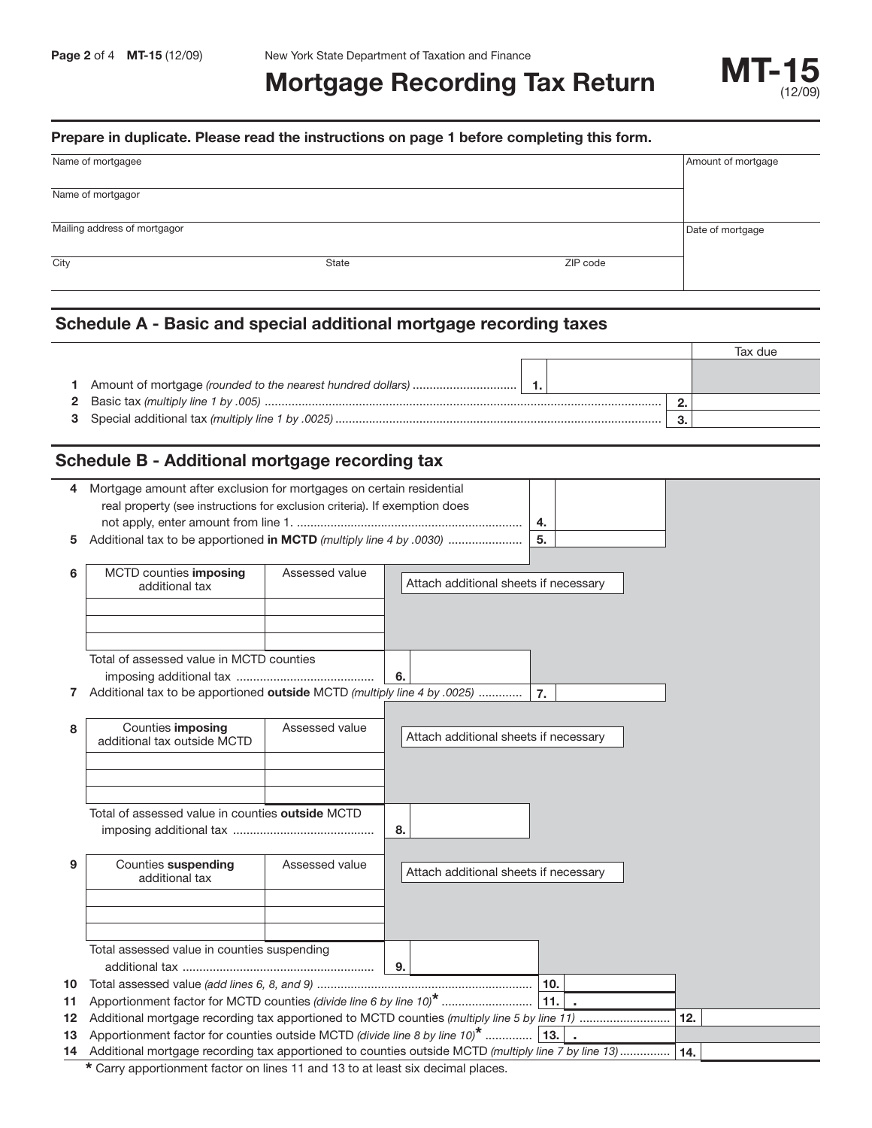# **MORTGAGE Recording Tax Return MT-15**

#### **Prepare in duplicate. Please read the instructions on page 1 before completing this form.**

| Name of mortgagee            |       |          | Amount of mortgage |
|------------------------------|-------|----------|--------------------|
|                              |       |          |                    |
| Name of mortgagor            |       |          |                    |
|                              |       |          |                    |
| Mailing address of mortgagor |       |          | Date of mortgage   |
|                              |       |          |                    |
| City                         | State | ZIP code |                    |
|                              |       |          |                    |

# **Schedule A - Basic and special additional mortgage recording taxes**

|  | Tax due |
|--|---------|
|  |         |
|  |         |
|  |         |
|  |         |

# **Schedule B - Additional mortgage recording tax**

|    | Mortgage amount after exclusion for mortgages on certain residential                                |                |                                       |                  |     |
|----|-----------------------------------------------------------------------------------------------------|----------------|---------------------------------------|------------------|-----|
|    | real property (see instructions for exclusion criteria). If exemption does                          |                |                                       |                  |     |
|    |                                                                                                     |                |                                       | 4.               |     |
| 5  |                                                                                                     |                |                                       | 5.               |     |
|    |                                                                                                     |                |                                       |                  |     |
| 6  | MCTD counties imposing<br>additional tax                                                            | Assessed value | Attach additional sheets if necessary |                  |     |
|    |                                                                                                     |                |                                       |                  |     |
|    |                                                                                                     |                |                                       |                  |     |
|    |                                                                                                     |                |                                       |                  |     |
|    | Total of assessed value in MCTD counties                                                            |                |                                       |                  |     |
|    |                                                                                                     |                | 6.                                    |                  |     |
| 7  | Additional tax to be apportioned outside MCTD (multiply line 4 by .0025)                            |                |                                       | $\overline{7}$ . |     |
|    |                                                                                                     |                |                                       |                  |     |
| 8  | Counties imposing                                                                                   | Assessed value |                                       |                  |     |
|    | additional tax outside MCTD                                                                         |                | Attach additional sheets if necessary |                  |     |
|    |                                                                                                     |                |                                       |                  |     |
|    |                                                                                                     |                |                                       |                  |     |
|    |                                                                                                     |                |                                       |                  |     |
|    | Total of assessed value in counties outside MCTD                                                    |                |                                       |                  |     |
|    |                                                                                                     |                | 8.                                    |                  |     |
| 9  | Counties suspending                                                                                 | Assessed value |                                       |                  |     |
|    | additional tax                                                                                      |                | Attach additional sheets if necessary |                  |     |
|    |                                                                                                     |                |                                       |                  |     |
|    |                                                                                                     |                |                                       |                  |     |
|    |                                                                                                     |                |                                       |                  |     |
|    | Total assessed value in counties suspending                                                         |                |                                       |                  |     |
|    |                                                                                                     |                | 9.                                    |                  |     |
| 10 |                                                                                                     |                |                                       |                  |     |
| 11 | Apportionment factor for MCTD counties (divide line 6 by line 10) <sup>*</sup>                      |                |                                       | 111.1.           |     |
| 12 |                                                                                                     |                |                                       |                  | 12. |
| 13 | Apportionment factor for counties outside MCTD (divide line 8 by line $10^*$   13.                  |                |                                       |                  |     |
| 14 | Additional mortgage recording tax apportioned to counties outside MCTD (multiply line 7 by line 13) |                |                                       |                  | 14. |

**\*** Carry apportionment factor on lines 11 and 13 to at least six decimal places.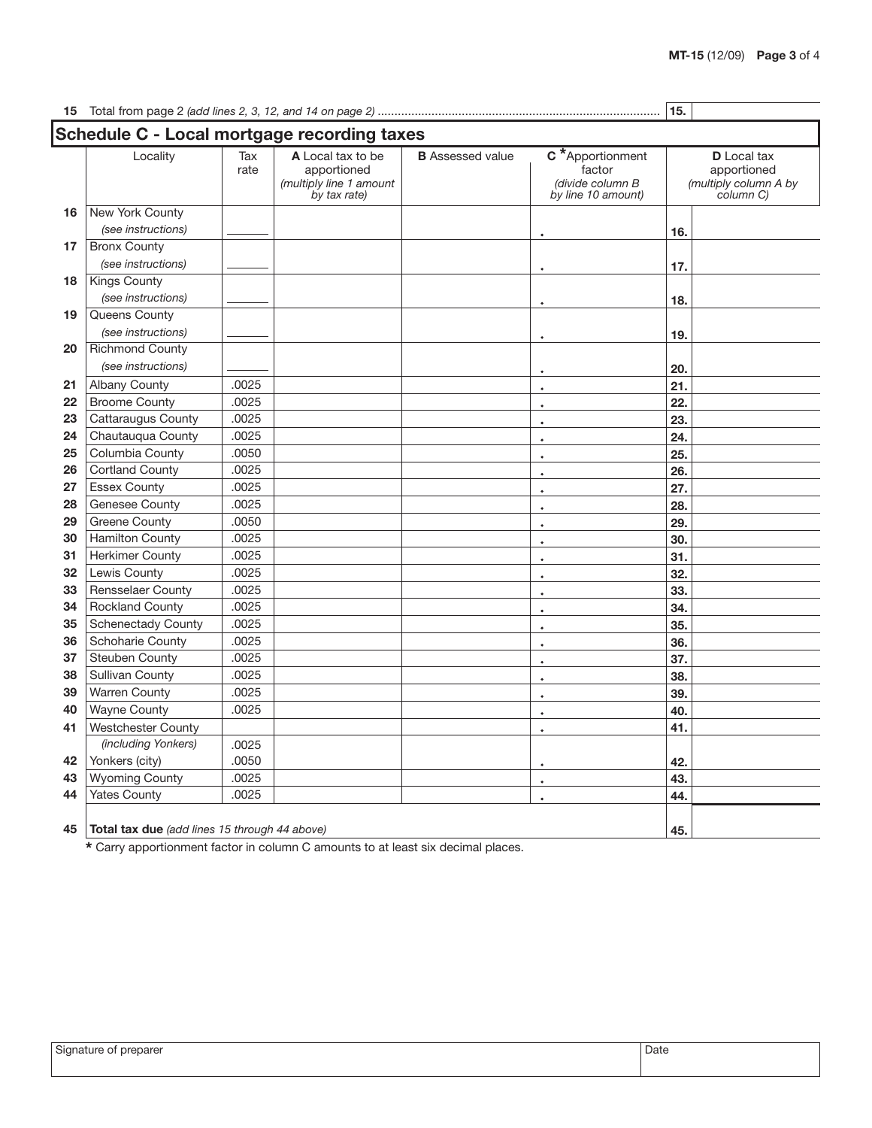# Total from page 2 (add lines 2, 3, 12, and 14 on page 2) .................................................................................... **15.**

| Locality                  | Tax<br>rate | Schedule C - Local mortgage recording taxes<br>A Local tax to be<br>apportioned<br>(multiply line 1 amount<br>by tax rate) | <b>B</b> Assessed value | C*Apportionment<br>factor<br>(divide column B<br>by line 10 amount) | <b>D</b> Local tax<br>apportioned<br>(multiply column A by<br>column C) |  |  |
|---------------------------|-------------|----------------------------------------------------------------------------------------------------------------------------|-------------------------|---------------------------------------------------------------------|-------------------------------------------------------------------------|--|--|
| New York County<br>16     |             |                                                                                                                            |                         |                                                                     |                                                                         |  |  |
| (see instructions)        |             |                                                                                                                            |                         |                                                                     | 16.                                                                     |  |  |
| <b>Bronx County</b>       |             |                                                                                                                            |                         |                                                                     |                                                                         |  |  |
| (see instructions)        |             |                                                                                                                            |                         |                                                                     | 17.                                                                     |  |  |
| <b>Kings County</b>       |             |                                                                                                                            |                         |                                                                     |                                                                         |  |  |
| (see instructions)        |             |                                                                                                                            |                         | $\bullet$                                                           | 18.                                                                     |  |  |
| Queens County             |             |                                                                                                                            |                         |                                                                     |                                                                         |  |  |
| (see instructions)        |             |                                                                                                                            |                         |                                                                     | 19.                                                                     |  |  |
| <b>Richmond County</b>    |             |                                                                                                                            |                         |                                                                     |                                                                         |  |  |
| (see instructions)        |             |                                                                                                                            |                         | $\bullet$                                                           | 20.                                                                     |  |  |
| <b>Albany County</b>      | .0025       |                                                                                                                            |                         | $\bullet$                                                           | 21.                                                                     |  |  |
| <b>Broome County</b>      | .0025       |                                                                                                                            |                         | $\bullet$                                                           | 22.                                                                     |  |  |
| Cattaraugus County        | .0025       |                                                                                                                            |                         | $\bullet$                                                           | 23.                                                                     |  |  |
| Chautauqua County         | .0025       |                                                                                                                            |                         | $\bullet$                                                           | 24.                                                                     |  |  |
| Columbia County           | .0050       |                                                                                                                            |                         | $\bullet$                                                           | 25.                                                                     |  |  |
| Cortland County           | .0025       |                                                                                                                            |                         | $\bullet$                                                           | 26.                                                                     |  |  |
| <b>Essex County</b>       | .0025       |                                                                                                                            |                         | $\bullet$                                                           | 27.                                                                     |  |  |
| <b>Genesee County</b>     | .0025       |                                                                                                                            |                         | $\bullet$                                                           | 28.                                                                     |  |  |
| <b>Greene County</b>      | .0050       |                                                                                                                            |                         | $\bullet$                                                           | 29.                                                                     |  |  |
| <b>Hamilton County</b>    | .0025       |                                                                                                                            |                         | $\bullet$                                                           | 30.                                                                     |  |  |
| <b>Herkimer County</b>    | .0025       |                                                                                                                            |                         | $\bullet$                                                           | 31.                                                                     |  |  |
| Lewis County              | .0025       |                                                                                                                            |                         | $\bullet$                                                           | 32.                                                                     |  |  |
| Rensselaer County         | .0025       |                                                                                                                            |                         | $\bullet$                                                           | 33.                                                                     |  |  |
| <b>Rockland County</b>    | .0025       |                                                                                                                            |                         | $\bullet$                                                           | 34.                                                                     |  |  |
| <b>Schenectady County</b> | .0025       |                                                                                                                            |                         | $\bullet$                                                           | 35.                                                                     |  |  |
| Schoharie County          | .0025       |                                                                                                                            |                         | $\bullet$                                                           | 36.                                                                     |  |  |
| <b>Steuben County</b>     | .0025       |                                                                                                                            |                         | $\bullet$                                                           | 37.                                                                     |  |  |
| <b>Sullivan County</b>    | .0025       |                                                                                                                            |                         | $\bullet$                                                           | 38.                                                                     |  |  |
| <b>Warren County</b>      | .0025       |                                                                                                                            |                         | $\bullet$                                                           | 39.                                                                     |  |  |
| <b>Wayne County</b>       | .0025       |                                                                                                                            |                         | $\bullet$                                                           | 40.                                                                     |  |  |
| <b>Westchester County</b> |             |                                                                                                                            |                         | $\bullet$                                                           | 41.                                                                     |  |  |
| (including Yonkers)       | .0025       |                                                                                                                            |                         |                                                                     |                                                                         |  |  |
| Yonkers (city)            | .0050       |                                                                                                                            |                         | ٠                                                                   | 42.                                                                     |  |  |
| <b>Wyoming County</b>     | .0025       |                                                                                                                            |                         | $\bullet$                                                           | 43.                                                                     |  |  |
| <b>Yates County</b>       | .0025       |                                                                                                                            |                         | $\bullet$                                                           | 44.                                                                     |  |  |

**\*** Carry apportionment factor in column C amounts to at least six decimal places.